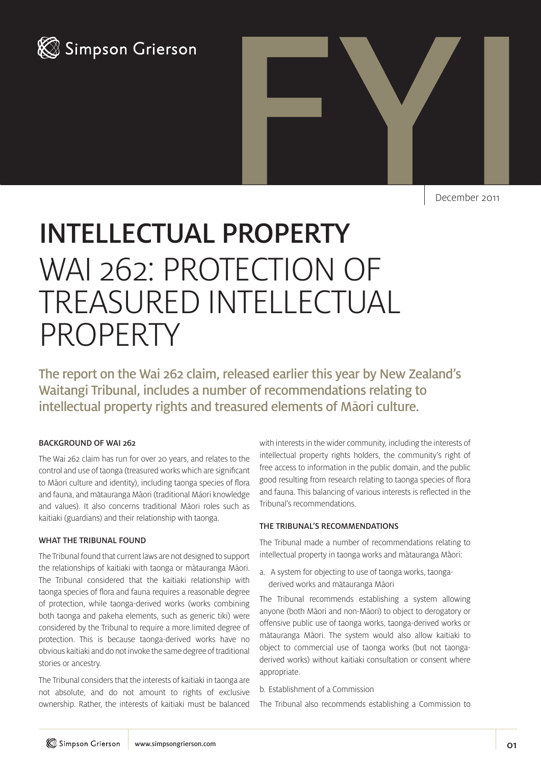



December 2011

# INTELLECTUAL PROPERTY WAI 262: PROTECTION OF TREASURED INTELLECTUAL PROPERTY

The report on the Wai 262 claim, released earlier this year by New Zealand's Waitangi Tribunal, includes a number of recommendations relating to intellectual property rights and treasured elements of Māori culture.

## BACKGROUND OF WAI 262

The Wai 262 claim has run for over 20 years, and relates to the control and use of taonga (treasured works which are significant to Maori culture and identity), including taonga species of flora and fauna, and matauranga Maori (traditional Maori knowledge and values). It also concerns traditional Māori roles such as kaitiaki (guardians) and their relationship with taonga.

## WHAT THE TRIBUNAL FOUND

The Tribunal found that current laws are not designed to support the relationships of kaitiaki with taonga or mātauranga Māori. The Tribunal considered that the kaitiaki relationship with taonga species of flora and fauna requires a reasonable degree of protection, while taonga-derived works (works combining both taonga and pakeha elements, such as generic tiki) were considered by the Tribunal to require a more limited degree of protection. This is because taonga-derived works have no obvious kaitiaki and do not invoke the same degree of traditional stories or ancestry.

The Tribunal considers that the interests of kaitiaki in taonga are not absolute, and do not amount to rights of exclusive ownership. Rather, the interests of kaitiaki must be balanced

with interests in the wider community, including the interests of intellectual property rights holders, the community's right of free access to information in the public domain, and the public good resulting from research relating to taonga species of flora and fauna. This balancing of various interests is reflected in the Tribunal's recommendations.

#### THE TRIBUNAL'S RECOMMENDATIONS

The Tribunal made a number of recommendations relating to intellectual property in taonga works and mātauranga Māori:

a. A system for objecting to use of taonga works, taongaderived works and mātauranga Māori

The Tribunal recommends establishing a system allowing anyone (both Māori and non-Māori) to object to derogatory or offensive public use of taonga works, taonga-derived works or mātauranga Māori. The system would also allow kaitiaki to object to commercial use of taonga works (but not taongaderived works) without kaitiaki consultation or consent where appropriate.

b. Establishment of a Commission

The Tribunal also recommends establishing a Commission to